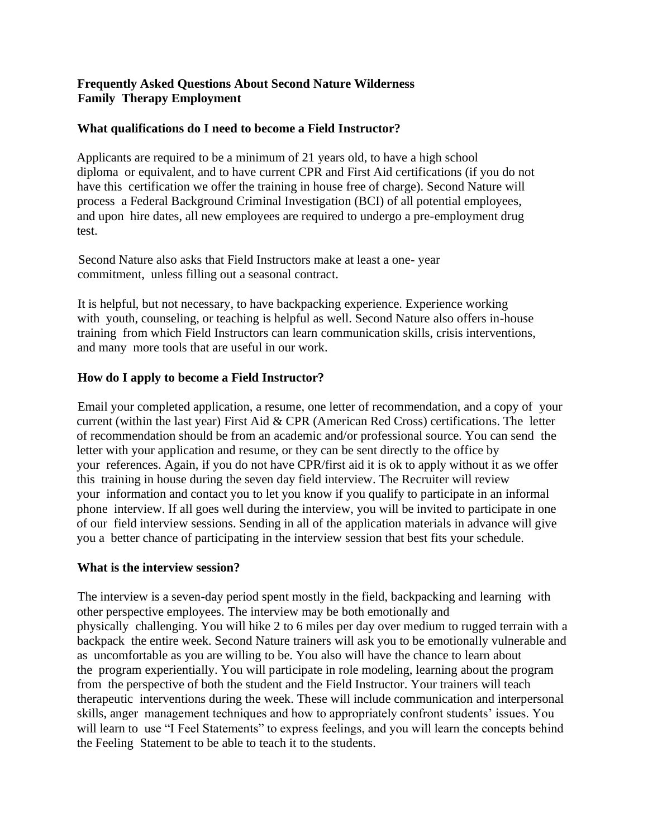# **Frequently Asked Questions About Second Nature Wilderness Family Therapy Employment**

### **What qualifications do I need to become a Field Instructor?**

Applicants are required to be a minimum of 21 years old, to have a high school diploma or equivalent, and to have current CPR and First Aid certifications (if you do not have this certification we offer the training in house free of charge). Second Nature will process a Federal Background Criminal Investigation (BCI) of all potential employees, and upon hire dates, all new employees are required to undergo a pre-employment drug test.

Second Nature also asks that Field Instructors make at least a one- year commitment, unless filling out a seasonal contract.

It is helpful, but not necessary, to have backpacking experience. Experience working with youth, counseling, or teaching is helpful as well. Second Nature also offers in-house training from which Field Instructors can learn communication skills, crisis interventions, and many more tools that are useful in our work.

### **How do I apply to become a Field Instructor?**

Email your completed application, a resume, one letter of recommendation, and a copy of your current (within the last year) First Aid & CPR (American Red Cross) certifications. The letter of recommendation should be from an academic and/or professional source. You can send the letter with your application and resume, or they can be sent directly to the office by your references. Again, if you do not have CPR/first aid it is ok to apply without it as we offer this training in house during the seven day field interview. The Recruiter will review your information and contact you to let you know if you qualify to participate in an informal phone interview. If all goes well during the interview, you will be invited to participate in one of our field interview sessions. Sending in all of the application materials in advance will give you a better chance of participating in the interview session that best fits your schedule.

#### **What is the interview session?**

The interview is a seven-day period spent mostly in the field, backpacking and learning with other perspective employees. The interview may be both emotionally and physically challenging. You will hike 2 to 6 miles per day over medium to rugged terrain with a backpack the entire week. Second Nature trainers will ask you to be emotionally vulnerable and as uncomfortable as you are willing to be. You also will have the chance to learn about the program experientially. You will participate in role modeling, learning about the program from the perspective of both the student and the Field Instructor. Your trainers will teach therapeutic interventions during the week. These will include communication and interpersonal skills, anger management techniques and how to appropriately confront students' issues. You will learn to use "I Feel Statements" to express feelings, and you will learn the concepts behind the Feeling Statement to be able to teach it to the students.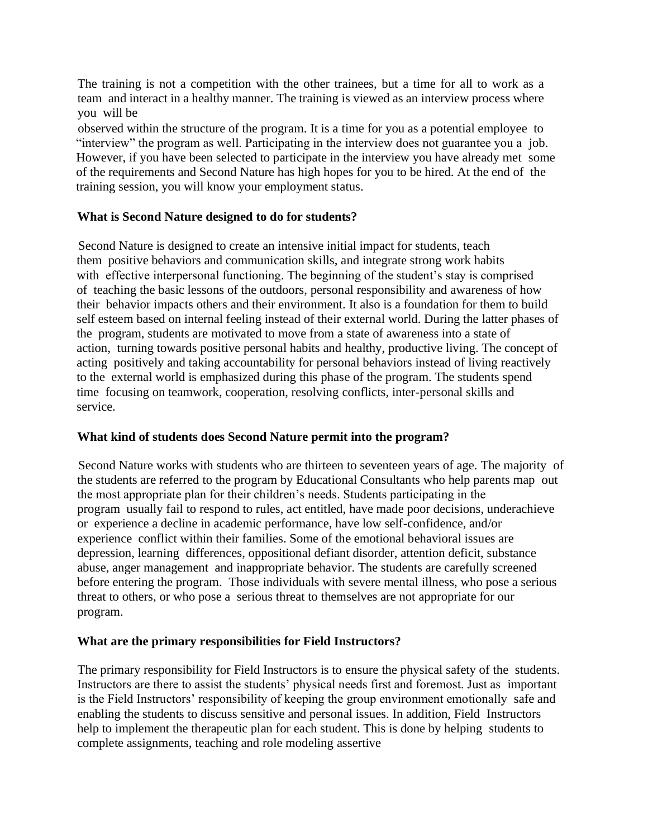The training is not a competition with the other trainees, but a time for all to work as a team and interact in a healthy manner. The training is viewed as an interview process where you will be

observed within the structure of the program. It is a time for you as a potential employee to "interview" the program as well. Participating in the interview does not guarantee you a job. However, if you have been selected to participate in the interview you have already met some of the requirements and Second Nature has high hopes for you to be hired. At the end of the training session, you will know your employment status.

### **What is Second Nature designed to do for students?**

Second Nature is designed to create an intensive initial impact for students, teach them positive behaviors and communication skills, and integrate strong work habits with effective interpersonal functioning. The beginning of the student's stay is comprised of teaching the basic lessons of the outdoors, personal responsibility and awareness of how their behavior impacts others and their environment. It also is a foundation for them to build self esteem based on internal feeling instead of their external world. During the latter phases of the program, students are motivated to move from a state of awareness into a state of action, turning towards positive personal habits and healthy, productive living. The concept of acting positively and taking accountability for personal behaviors instead of living reactively to the external world is emphasized during this phase of the program. The students spend time focusing on teamwork, cooperation, resolving conflicts, inter-personal skills and service.

# **What kind of students does Second Nature permit into the program?**

Second Nature works with students who are thirteen to seventeen years of age. The majority of the students are referred to the program by Educational Consultants who help parents map out the most appropriate plan for their children's needs. Students participating in the program usually fail to respond to rules, act entitled, have made poor decisions, underachieve or experience a decline in academic performance, have low self-confidence, and/or experience conflict within their families. Some of the emotional behavioral issues are depression, learning differences, oppositional defiant disorder, attention deficit, substance abuse, anger management and inappropriate behavior. The students are carefully screened before entering the program. Those individuals with severe mental illness, who pose a serious threat to others, or who pose a serious threat to themselves are not appropriate for our program.

#### **What are the primary responsibilities for Field Instructors?**

The primary responsibility for Field Instructors is to ensure the physical safety of the students. Instructors are there to assist the students' physical needs first and foremost. Just as important is the Field Instructors' responsibility of keeping the group environment emotionally safe and enabling the students to discuss sensitive and personal issues. In addition, Field Instructors help to implement the therapeutic plan for each student. This is done by helping students to complete assignments, teaching and role modeling assertive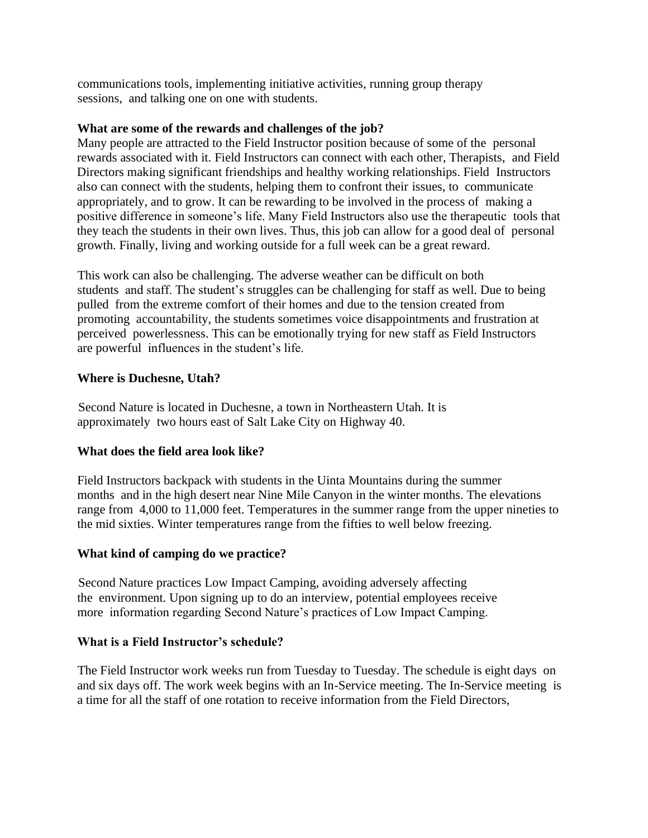communications tools, implementing initiative activities, running group therapy sessions, and talking one on one with students.

### **What are some of the rewards and challenges of the job?**

Many people are attracted to the Field Instructor position because of some of the personal rewards associated with it. Field Instructors can connect with each other, Therapists, and Field Directors making significant friendships and healthy working relationships. Field Instructors also can connect with the students, helping them to confront their issues, to communicate appropriately, and to grow. It can be rewarding to be involved in the process of making a positive difference in someone's life. Many Field Instructors also use the therapeutic tools that they teach the students in their own lives. Thus, this job can allow for a good deal of personal growth. Finally, living and working outside for a full week can be a great reward.

This work can also be challenging. The adverse weather can be difficult on both students and staff. The student's struggles can be challenging for staff as well. Due to being pulled from the extreme comfort of their homes and due to the tension created from promoting accountability, the students sometimes voice disappointments and frustration at perceived powerlessness. This can be emotionally trying for new staff as Field Instructors are powerful influences in the student's life.

# **Where is Duchesne, Utah?**

Second Nature is located in Duchesne, a town in Northeastern Utah. It is approximately two hours east of Salt Lake City on Highway 40.

# **What does the field area look like?**

Field Instructors backpack with students in the Uinta Mountains during the summer months and in the high desert near Nine Mile Canyon in the winter months. The elevations range from 4,000 to 11,000 feet. Temperatures in the summer range from the upper nineties to the mid sixties. Winter temperatures range from the fifties to well below freezing.

# **What kind of camping do we practice?**

Second Nature practices Low Impact Camping, avoiding adversely affecting the environment. Upon signing up to do an interview, potential employees receive more information regarding Second Nature's practices of Low Impact Camping.

#### **What is a Field Instructor's schedule?**

The Field Instructor work weeks run from Tuesday to Tuesday. The schedule is eight days on and six days off. The work week begins with an In-Service meeting. The In-Service meeting is a time for all the staff of one rotation to receive information from the Field Directors,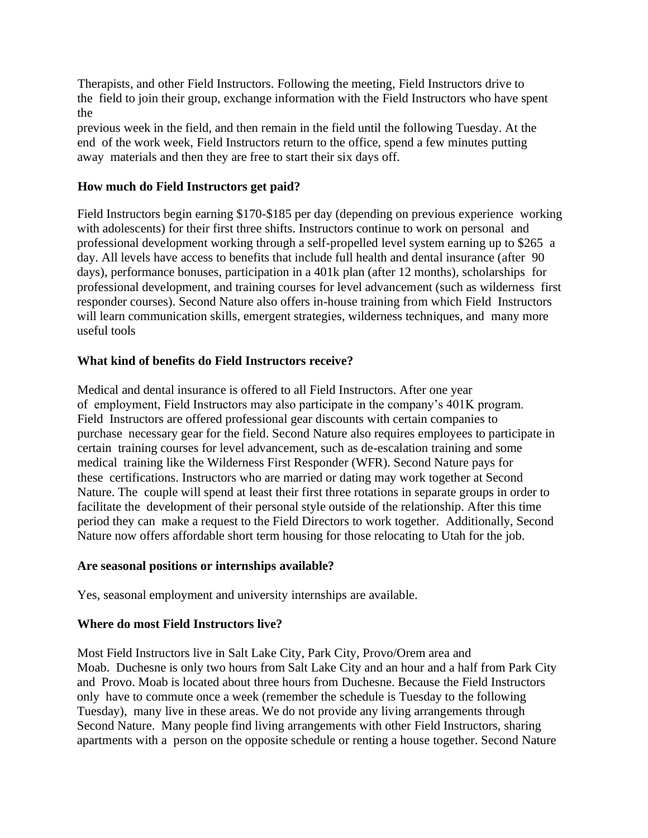Therapists, and other Field Instructors. Following the meeting, Field Instructors drive to the field to join their group, exchange information with the Field Instructors who have spent the

previous week in the field, and then remain in the field until the following Tuesday. At the end of the work week, Field Instructors return to the office, spend a few minutes putting away materials and then they are free to start their six days off.

## **How much do Field Instructors get paid?**

Field Instructors begin earning \$170-\$185 per day (depending on previous experience working with adolescents) for their first three shifts. Instructors continue to work on personal and professional development working through a self-propelled level system earning up to \$265 a day. All levels have access to benefits that include full health and dental insurance (after 90 days), performance bonuses, participation in a 401k plan (after 12 months), scholarships for professional development, and training courses for level advancement (such as wilderness first responder courses). Second Nature also offers in-house training from which Field Instructors will learn communication skills, emergent strategies, wilderness techniques, and many more useful tools

### **What kind of benefits do Field Instructors receive?**

Medical and dental insurance is offered to all Field Instructors. After one year of employment, Field Instructors may also participate in the company's 401K program. Field Instructors are offered professional gear discounts with certain companies to purchase necessary gear for the field. Second Nature also requires employees to participate in certain training courses for level advancement, such as de-escalation training and some medical training like the Wilderness First Responder (WFR). Second Nature pays for these certifications. Instructors who are married or dating may work together at Second Nature. The couple will spend at least their first three rotations in separate groups in order to facilitate the development of their personal style outside of the relationship. After this time period they can make a request to the Field Directors to work together. Additionally, Second Nature now offers affordable short term housing for those relocating to Utah for the job.

#### **Are seasonal positions or internships available?**

Yes, seasonal employment and university internships are available.

#### **Where do most Field Instructors live?**

Most Field Instructors live in Salt Lake City, Park City, Provo/Orem area and Moab. Duchesne is only two hours from Salt Lake City and an hour and a half from Park City and Provo. Moab is located about three hours from Duchesne. Because the Field Instructors only have to commute once a week (remember the schedule is Tuesday to the following Tuesday), many live in these areas. We do not provide any living arrangements through Second Nature. Many people find living arrangements with other Field Instructors, sharing apartments with a person on the opposite schedule or renting a house together. Second Nature